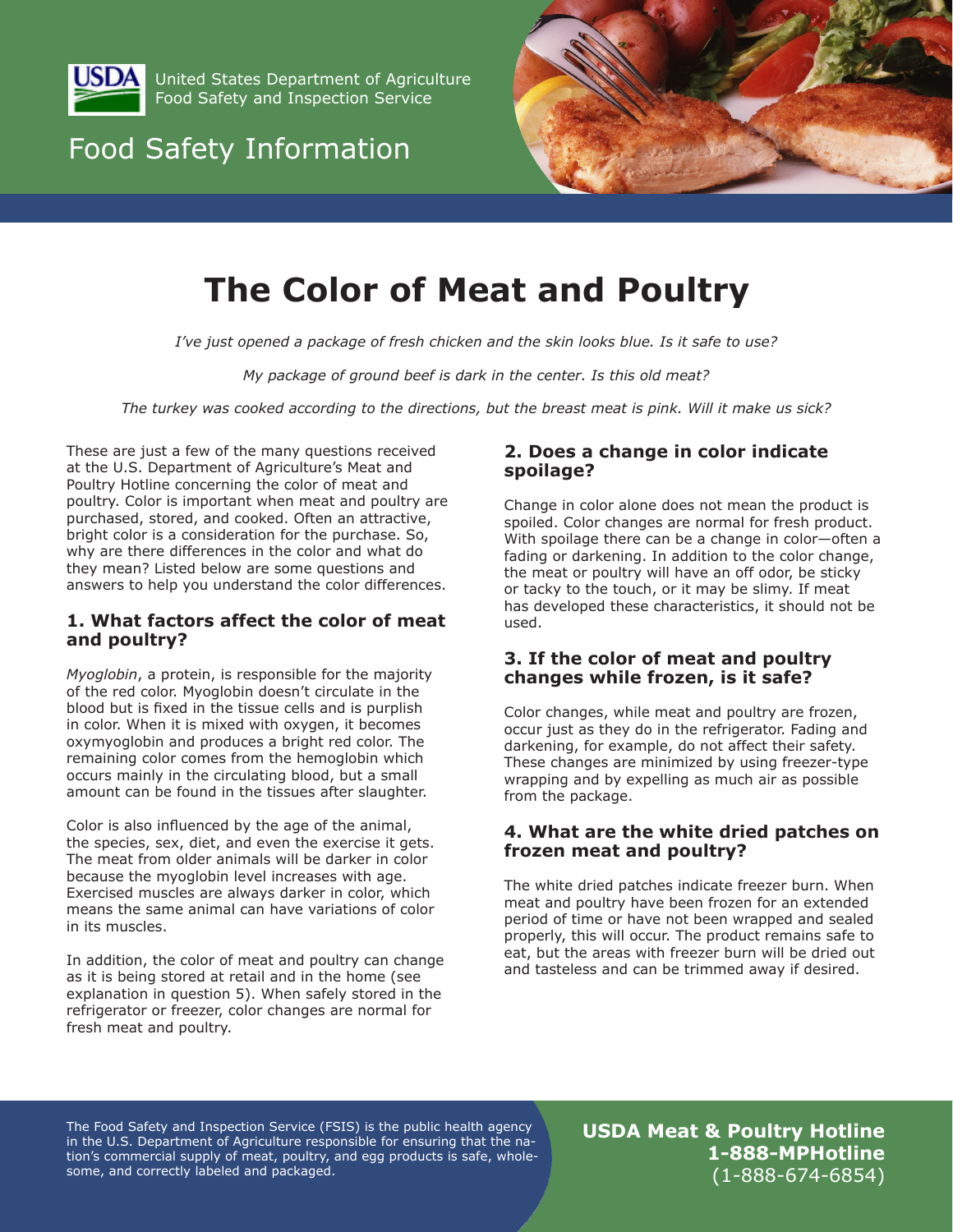<span id="page-0-0"></span>

United States Department of Agriculture Food Safety and Inspection Service

## Food Safety Information



# **The Color of Meat and Poultry**

*I've just opened a package of fresh chicken and the skin looks blue. Is it safe to use?*

*My package of ground beef is dark in the center. Is this old meat?*

*The turkey was cooked according to the directions, but the breast meat is pink. Will it make us sick?*

These are just a few of the many questions received at the U.S. Department of Agriculture's Meat and Poultry Hotline concerning the color of meat and poultry. Color is important when meat and poultry are purchased, stored, and cooked. Often an attractive, bright color is a consideration for the purchase. So, why are there differences in the color and what do they mean? Listed below are some questions and answers to help you understand the color differences.

## **1. What factors affect the color of meat and poultry?**

*Myoglobin*, a protein, is responsible for the majority of the red color. Myoglobin doesn't circulate in the blood but is fixed in the tissue cells and is purplish in color. When it is mixed with oxygen, it becomes oxymyoglobin and produces a bright red color. The remaining color comes from the hemoglobin which occurs mainly in the circulating blood, but a small amount can be found in the tissues after slaughter.

Color is also influenced by the age of the animal, the species, sex, diet, and even the exercise it gets. The meat from older animals will be darker in color because the myoglobin level increases with age. Exercised muscles are always darker in color, which means the same animal can have variations of color in its muscles.

In addition, the color of meat and poultry can change as it is being stored at retail and in the home (see explanation in [question 5\)](#page-1-0). When safely stored in the refrigerator or freezer, color changes are normal for fresh meat and poultry.

## **2. Does a change in color indicate spoilage?**

Change in color alone does not mean the product is spoiled. Color changes are normal for fresh product. With spoilage there can be a change in color—often a fading or darkening. In addition to the color change, the meat or poultry will have an off odor, be sticky or tacky to the touch, or it may be slimy. If meat has developed these characteristics, it should not be used.

## **3. If the color of meat and poultry changes while frozen, is it safe?**

Color changes, while meat and poultry are frozen, occur just as they do in the refrigerator. Fading and darkening, for example, do not affect their safety. These changes are minimized by using freezer-type wrapping and by expelling as much air as possible from the package.

## **4. What are the white dried patches on frozen meat and poultry?**

The white dried patches indicate freezer burn. When meat and poultry have been frozen for an extended period of time or have not been wrapped and sealed properly, this will occur. The product remains safe to eat, but the areas with freezer burn will be dried out and tasteless and can be trimmed away if desired.

The Food Safety and Inspection Service (FSIS) is the public health agency in the U.S. Department of Agriculture responsible for ensuring that the nation's commercial supply of meat, poultry, and egg products is safe, wholesome, and correctly labeled and packaged.

**USDA Meat & Poultry Hotline 1-888-MPHotline** (1-888-674-6854)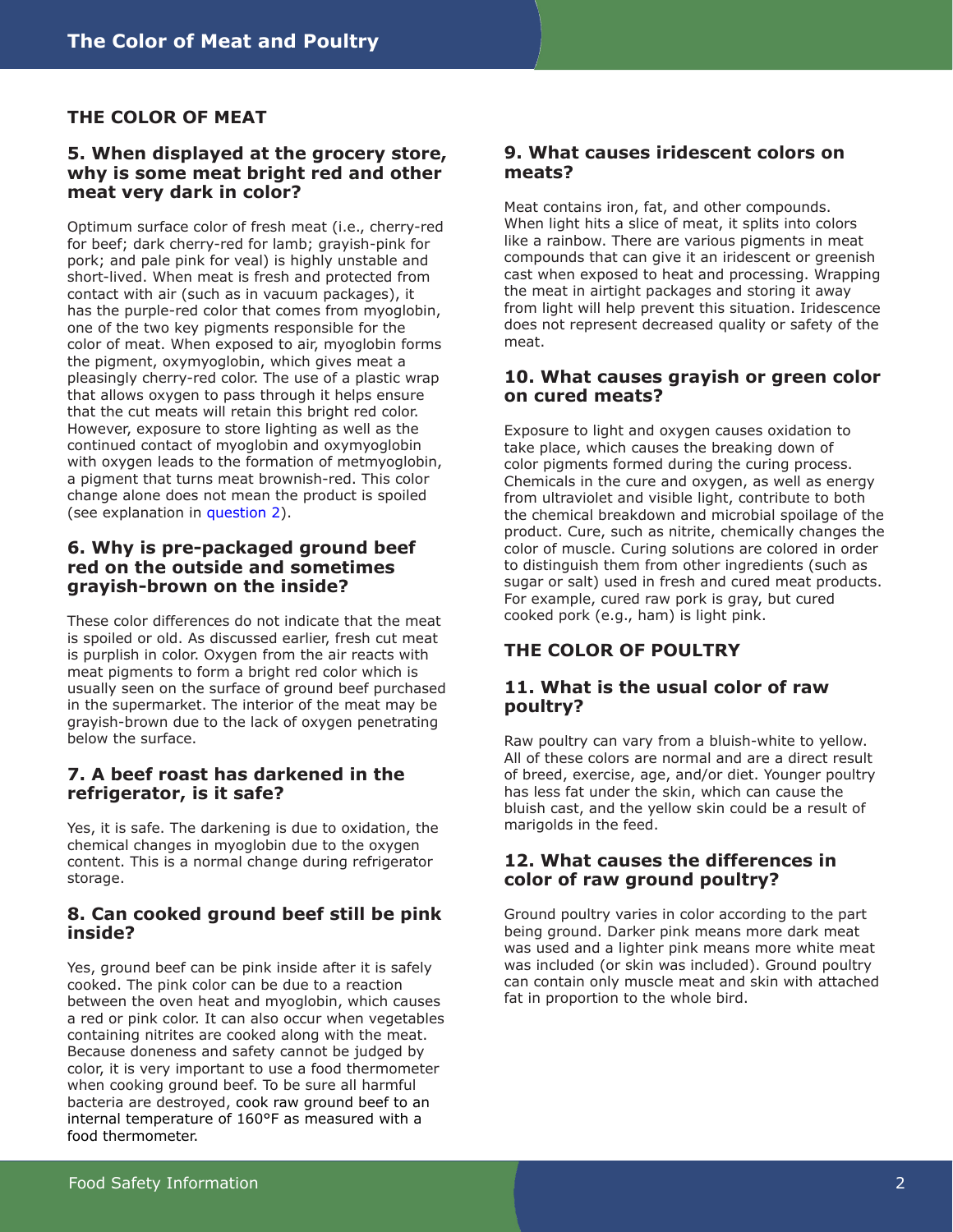## <span id="page-1-0"></span>**THE COLOR OF MEAT**

#### **5. When displayed at the grocery store, why is some meat bright red and other meat very dark in color?**

Optimum surface color of fresh meat (i.e., cherry-red for beef; dark cherry-red for lamb; grayish-pink for pork; and pale pink for veal) is highly unstable and short-lived. When meat is fresh and protected from contact with air (such as in vacuum packages), it has the purple-red color that comes from myoglobin, one of the two key pigments responsible for the color of meat. When exposed to air, myoglobin forms the pigment, oxymyoglobin, which gives meat a pleasingly cherry-red color. The use of a plastic wrap that allows oxygen to pass through it helps ensure that the cut meats will retain this bright red color. However, exposure to store lighting as well as the continued contact of myoglobin and oxymyoglobin with oxygen leads to the formation of metmyoglobin, a pigment that turns meat brownish-red. This color change alone does not mean the product is spoiled (see explanation in [question 2\)](#page-0-0).

## **6. Why is pre-packaged ground beef red on the outside and sometimes grayish-brown on the inside?**

These color differences do not indicate that the meat is spoiled or old. As discussed earlier, fresh cut meat is purplish in color. Oxygen from the air reacts with meat pigments to form a bright red color which is usually seen on the surface of ground beef purchased in the supermarket. The interior of the meat may be grayish-brown due to the lack of oxygen penetrating below the surface.

### **7. A beef roast has darkened in the refrigerator, is it safe?**

Yes, it is safe. The darkening is due to oxidation, the chemical changes in myoglobin due to the oxygen content. This is a normal change during refrigerator storage.

## **8. Can cooked ground beef still be pink inside?**

Yes, ground beef can be pink inside after it is safely cooked. The pink color can be due to a reaction between the oven heat and myoglobin, which causes a red or pink color. It can also occur when vegetables containing nitrites are cooked along with the meat. Because doneness and safety cannot be judged by color, it is very important to use a food thermometer when cooking ground beef. To be sure all harmful bacteria are destroyed, cook raw ground beef to an internal temperature of 160°F as measured with a food thermometer.

#### **9. What causes iridescent colors on meats?**

Meat contains iron, fat, and other compounds. When light hits a slice of meat, it splits into colors like a rainbow. There are various pigments in meat compounds that can give it an iridescent or greenish cast when exposed to heat and processing. Wrapping the meat in airtight packages and storing it away from light will help prevent this situation. Iridescence does not represent decreased quality or safety of the meat.

## **10. What causes grayish or green color on cured meats?**

Exposure to light and oxygen causes oxidation to take place, which causes the breaking down of color pigments formed during the curing process. Chemicals in the cure and oxygen, as well as energy from ultraviolet and visible light, contribute to both the chemical breakdown and microbial spoilage of the product. Cure, such as nitrite, chemically changes the color of muscle. Curing solutions are colored in order to distinguish them from other ingredients (such as sugar or salt) used in fresh and cured meat products. For example, cured raw pork is gray, but cured cooked pork (e.g., ham) is light pink.

## **THE COLOR OF POULTRY**

### **11. What is the usual color of raw poultry?**

Raw poultry can vary from a bluish-white to yellow. All of these colors are normal and are a direct result of breed, exercise, age, and/or diet. Younger poultry has less fat under the skin, which can cause the bluish cast, and the yellow skin could be a result of marigolds in the feed.

## **12. What causes the differences in color of raw ground poultry?**

Ground poultry varies in color according to the part being ground. Darker pink means more dark meat was used and a lighter pink means more white meat was included (or skin was included). Ground poultry can contain only muscle meat and skin with attached fat in proportion to the whole bird.